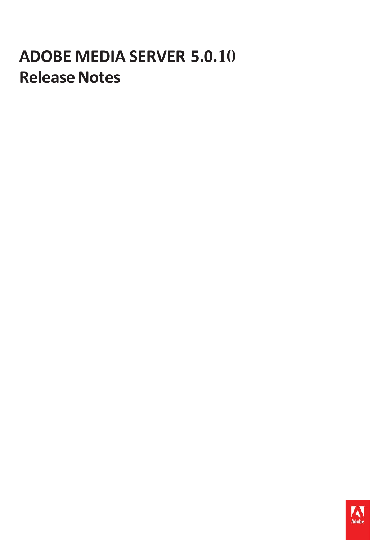# **ADOBE MEDIA SERVER 5.0.10 Release Notes**

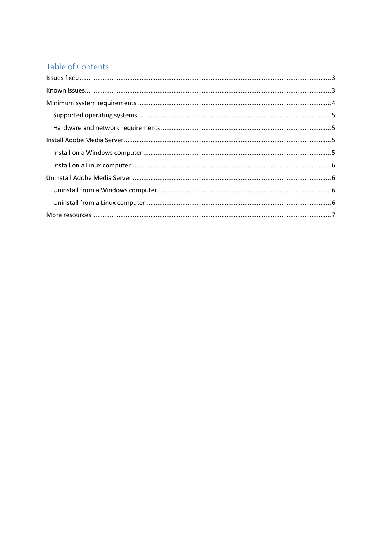## Table of Contents

| $\textsf{lssues fixed} \textsf{.} \textsf{} \textsf{} \textsf{} \textsf{} \textsf{} \textsf{} \textsf{} \textsf{} \textsf{} \textsf{} \textsf{} \textsf{} \textsf{} \textsf{} \textsf{} \textsf{} \textsf{} \textsf{} \textsf{} \textsf{} \textsf{} \textsf{} \textsf{} \textsf{} \textsf{} \textsf{} \textsf{} \textsf{} \textsf{} \textsf{} \textsf{} \textsf{} \textsf{} \textsf{} \$ |  |
|------------------------------------------------------------------------------------------------------------------------------------------------------------------------------------------------------------------------------------------------------------------------------------------------------------------------------------------------------------------------------------------|--|
|                                                                                                                                                                                                                                                                                                                                                                                          |  |
|                                                                                                                                                                                                                                                                                                                                                                                          |  |
|                                                                                                                                                                                                                                                                                                                                                                                          |  |
|                                                                                                                                                                                                                                                                                                                                                                                          |  |
|                                                                                                                                                                                                                                                                                                                                                                                          |  |
|                                                                                                                                                                                                                                                                                                                                                                                          |  |
|                                                                                                                                                                                                                                                                                                                                                                                          |  |
|                                                                                                                                                                                                                                                                                                                                                                                          |  |
|                                                                                                                                                                                                                                                                                                                                                                                          |  |
|                                                                                                                                                                                                                                                                                                                                                                                          |  |
|                                                                                                                                                                                                                                                                                                                                                                                          |  |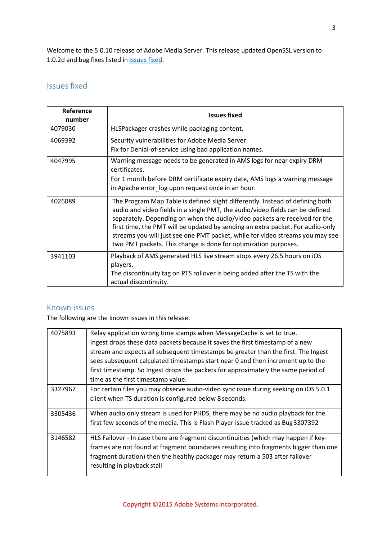Welcome to the 5.0.10 release of Adobe Media Server. This release updated OpenSSL version to 1.0.2d and bug fixes listed in **[Issues](#page-2-0)** fixed.

## <span id="page-2-0"></span>**Issues fixed**

| Reference<br>number | <b>Issues fixed</b>                                                                                                                                                                                                                                                                                                                                                                                                                                                                |
|---------------------|------------------------------------------------------------------------------------------------------------------------------------------------------------------------------------------------------------------------------------------------------------------------------------------------------------------------------------------------------------------------------------------------------------------------------------------------------------------------------------|
| 4079030             | HLSPackager crashes while packaging content.                                                                                                                                                                                                                                                                                                                                                                                                                                       |
| 4069392             | Security vulnerabilities for Adobe Media Server.<br>Fix for Denial-of-service using bad application names.                                                                                                                                                                                                                                                                                                                                                                         |
| 4047995             | Warning message needs to be generated in AMS logs for near expiry DRM<br>certificates.<br>For 1 month before DRM certificate expiry date, AMS logs a warning message<br>in Apache error_log upon request once in an hour.                                                                                                                                                                                                                                                          |
| 4026089             | The Program Map Table is defined slight differently. Instead of defining both<br>audio and video fields in a single PMT, the audio/video fields can be defined<br>separately. Depending on when the audio/video packets are received for the<br>first time, the PMT will be updated by sending an extra packet. For audio-only<br>streams you will just see one PMT packet, while for video streams you may see<br>two PMT packets. This change is done for optimization purposes. |
| 3941103             | Playback of AMS generated HLS live stream stops every 26.5 hours on iOS<br>players.<br>The discontinuity tag on PTS rollover is being added after the TS with the<br>actual discontinuity.                                                                                                                                                                                                                                                                                         |

## <span id="page-2-1"></span>Known issues

The following are the known issues in this release.

| 4075893 | Relay application wrong time stamps when MessageCache is set to true.                |
|---------|--------------------------------------------------------------------------------------|
|         | Ingest drops these data packets because it saves the first timestamp of a new        |
|         | stream and expects all subsequent timestamps be greater than the first. The Ingest   |
|         | sees subsequent calculated timestamps start near 0 and then increment up to the      |
|         | first timestamp. So Ingest drops the packets for approximately the same period of    |
|         | time as the first timestamp value.                                                   |
| 3327967 | For certain files you may observe audio-video sync issue during seeking on iOS 5.0.1 |
|         | client when TS duration is configured below 8 seconds.                               |
| 3305436 | When audio only stream is used for PHDS, there may be no audio playback for the      |
|         | first few seconds of the media. This is Flash Player issue tracked as Bug 3307392    |
| 3146582 | HLS Failover - In case there are fragment discontinuities (which may happen if key-  |
|         | frames are not found at fragment boundaries resulting into fragments bigger than one |
|         | fragment duration) then the healthy packager may return a 503 after failover         |
|         | resulting in playback stall                                                          |
|         |                                                                                      |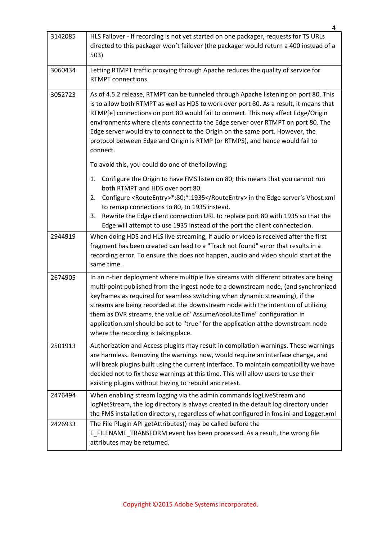| 3142085 | HLS Failover - If recording is not yet started on one packager, requests for TS URLs<br>directed to this packager won't failover (the packager would return a 400 instead of a<br>503)                                                                                                                                                                                                                                                                                                                                                                    |
|---------|-----------------------------------------------------------------------------------------------------------------------------------------------------------------------------------------------------------------------------------------------------------------------------------------------------------------------------------------------------------------------------------------------------------------------------------------------------------------------------------------------------------------------------------------------------------|
| 3060434 | Letting RTMPT traffic proxying through Apache reduces the quality of service for<br>RTMPT connections.                                                                                                                                                                                                                                                                                                                                                                                                                                                    |
| 3052723 | As of 4.5.2 release, RTMPT can be tunneled through Apache listening on port 80. This<br>is to allow both RTMPT as well as HDS to work over port 80. As a result, it means that<br>RTMP[e] connections on port 80 would fail to connect. This may affect Edge/Origin<br>environments where clients connect to the Edge server over RTMPT on port 80. The<br>Edge server would try to connect to the Origin on the same port. However, the<br>protocol between Edge and Origin is RTMP (or RTMPS), and hence would fail to<br>connect.                      |
|         | To avoid this, you could do one of the following:<br>Configure the Origin to have FMS listen on 80; this means that you cannot run<br>1.<br>both RTMPT and HDS over port 80.<br>Configure <routeentry>*:80;*:1935</routeentry> in the Edge server's Vhost.xml<br>2.<br>to remap connections to 80, to 1935 instead.<br>Rewrite the Edge client connection URL to replace port 80 with 1935 so that the<br>3.<br>Edge will attempt to use 1935 instead of the port the client connected on.                                                                |
| 2944919 | When doing HDS and HLS live streaming, if audio or video is received after the first<br>fragment has been created can lead to a "Track not found" error that results in a<br>recording error. To ensure this does not happen, audio and video should start at the<br>same time.                                                                                                                                                                                                                                                                           |
| 2674905 | In an n-tier deployment where multiple live streams with different bitrates are being<br>multi-point published from the ingest node to a downstream node, (and synchronized<br>keyframes as required for seamless switching when dynamic streaming), if the<br>streams are being recorded at the downstream node with the intention of utilizing<br>them as DVR streams, the value of "AssumeAbsoluteTime" configuration in<br>application.xml should be set to "true" for the application at the downstream node<br>where the recording is taking place. |
| 2501913 | Authorization and Access plugins may result in compilation warnings. These warnings<br>are harmless. Removing the warnings now, would require an interface change, and<br>will break plugins built using the current interface. To maintain compatibility we have<br>decided not to fix these warnings at this time. This will allow users to use their<br>existing plugins without having to rebuild and retest.                                                                                                                                         |
| 2476494 | When enabling stream logging via the admin commands logLiveStream and<br>logNetStream, the log directory is always created in the default log directory under<br>the FMS installation directory, regardless of what configured in fms.ini and Logger.xml                                                                                                                                                                                                                                                                                                  |
| 2426933 | The File Plugin API getAttributes() may be called before the<br>E_FILENAME_TRANSFORM event has been processed. As a result, the wrong file<br>attributes may be returned.                                                                                                                                                                                                                                                                                                                                                                                 |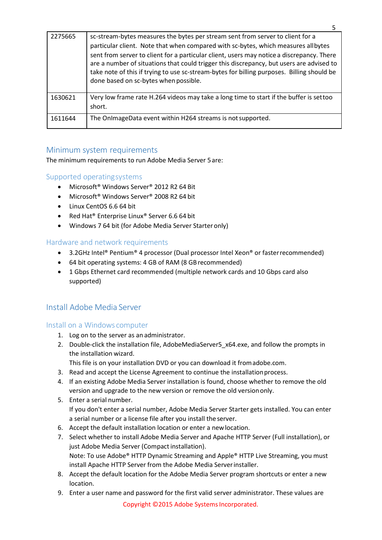| 2275665 | sc-stream-bytes measures the bytes per stream sent from server to client for a<br>particular client. Note that when compared with sc-bytes, which measures allbytes<br>sent from server to client for a particular client, users may notice a discrepancy. There<br>are a number of situations that could trigger this discrepancy, but users are advised to<br>take note of this if trying to use sc-stream-bytes for billing purposes. Billing should be<br>done based on sc-bytes when possible. |
|---------|-----------------------------------------------------------------------------------------------------------------------------------------------------------------------------------------------------------------------------------------------------------------------------------------------------------------------------------------------------------------------------------------------------------------------------------------------------------------------------------------------------|
| 1630621 | Very low frame rate H.264 videos may take a long time to start if the buffer is settoo<br>short.                                                                                                                                                                                                                                                                                                                                                                                                    |
| 1611644 | The OnlmageData event within H264 streams is not supported.                                                                                                                                                                                                                                                                                                                                                                                                                                         |

5

## <span id="page-4-0"></span>Minimum system requirements

<span id="page-4-1"></span>The minimum requirements to run Adobe Media Server 5are:

## Supported operatingsystems

- Microsoft® Windows Server® 2012 R2 64 Bit
- Microsoft® Windows Server® 2008 R2 64 bit
- Linux CentOS 6.6 64 bit
- Red Hat® Enterprise Linux® Server 6.6 64 bit
- Windows 7 64 bit (for Adobe Media Server Starter only)

## <span id="page-4-2"></span>Hardware and network requirements

- 3.2GHz Intel® Pentium® 4 processor (Dual processor Intel Xeon® or faster recommended)
- 64 bit operating systems: 4 GB of RAM (8 GB recommended)
- 1 Gbps Ethernet card recommended (multiple network cards and 10 Gbps card also supported)

## <span id="page-4-3"></span>Install Adobe Media Server

#### <span id="page-4-4"></span>Install on a Windows computer

- 1. Log on to the server as an administrator.
- 2. Double-click the installation file, AdobeMediaServer5\_x64.exe, and follow the prompts in the installation wizard.

This file is on your installation DVD or you can download it fromadobe.com.

- 3. Read and accept the License Agreement to continue the installationprocess.
- 4. If an existing Adobe Media Server installation is found, choose whether to remove the old version and upgrade to the new version or remove the old versiononly.
- 5. Enter a serial number. If you don't enter a serial number, Adobe Media Server Starter gets installed. You can enter a serial number or a license file after you install the server.
- 6. Accept the default installation location or enter a newlocation.
- 7. Select whether to install Adobe Media Server and Apache HTTP Server (Full installation), or just Adobe Media Server (Compact installation). Note: To use Adobe® HTTP Dynamic Streaming and Apple® HTTP Live Streaming, you must install Apache HTTP Server from the Adobe Media Serverinstaller.
- 8. Accept the default location for the Adobe Media Server program shortcuts or enter a new location.
- 9. Enter a user name and password for the first valid server administrator. These values are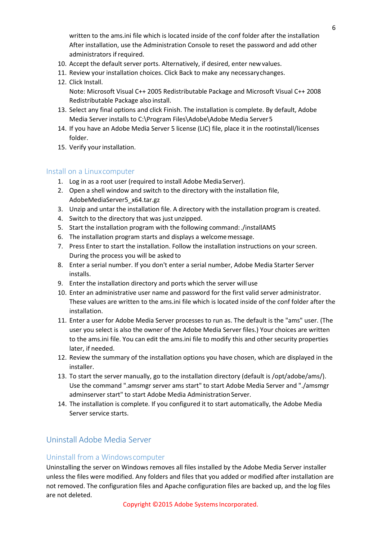written to the ams.ini file which is located inside of the conf folder after the installation After installation, use the Administration Console to reset the password and add other administrators if required.

- 10. Accept the default server ports. Alternatively, if desired, enter newvalues.
- 11. Review your installation choices. Click Back to make any necessarychanges.
- 12. Click Install. Note: Microsoft Visual C++ 2005 Redistributable Package and Microsoft Visual C++ 2008 Redistributable Package also install.
- 13. Select any final options and click Finish. The installation is complete. By default, Adobe Media Server installs to C:\Program Files\Adobe\Adobe Media Server5
- 14. If you have an Adobe Media Server 5 license (LIC) file, place it in the rootinstall/licenses folder.
- 15. Verify your installation.

#### <span id="page-5-0"></span>Install on a Linuxcomputer

- 1. Log in as a root user (required to install Adobe Media Server).
- 2. Open a shell window and switch to the directory with the installation file, AdobeMediaServer5\_x64.tar.gz
- 3. Unzip and untar the installation file. A directory with the installation program is created.
- 4. Switch to the directory that was just unzipped.
- 5. Start the installation program with the following command:./installAMS
- 6. The installation program starts and displays a welcomemessage.
- 7. Press Enter to start the installation. Follow the installation instructions on your screen. During the process you will be asked to
- 8. Enter a serial number. If you don't enter a serial number, Adobe Media Starter Server installs.
- 9. Enter the installation directory and ports which the server willuse
- 10. Enter an administrative user name and password for the first valid server administrator. These values are written to the ams.ini file which is located inside of the conf folder after the installation.
- 11. Enter a user for Adobe Media Server processes to run as. The default is the "ams" user. (The user you select is also the owner of the Adobe Media Server files.) Your choices are written to the ams.ini file. You can edit the ams.ini file to modify this and other security properties later, if needed.
- 12. Review the summary of the installation options you have chosen, which are displayed in the installer.
- 13. To start the server manually, go to the installation directory (default is /opt/adobe/ams/). Use the command ".amsmgr server ams start" to start Adobe Media Server and "./amsmgr adminserver start" to start Adobe Media Administration Server.
- 14. The installation is complete. If you configured it to start automatically, the Adobe Media Server service starts.

## <span id="page-5-1"></span>Uninstall Adobe Media Server

#### <span id="page-5-2"></span>Uninstall from a Windowscomputer

Uninstalling the server on Windows removes all files installed by the Adobe Media Server installer unless the files were modified. Any folders and files that you added or modified after installation are not removed. The configuration files and Apache configuration files are backed up, and the log files are not deleted.